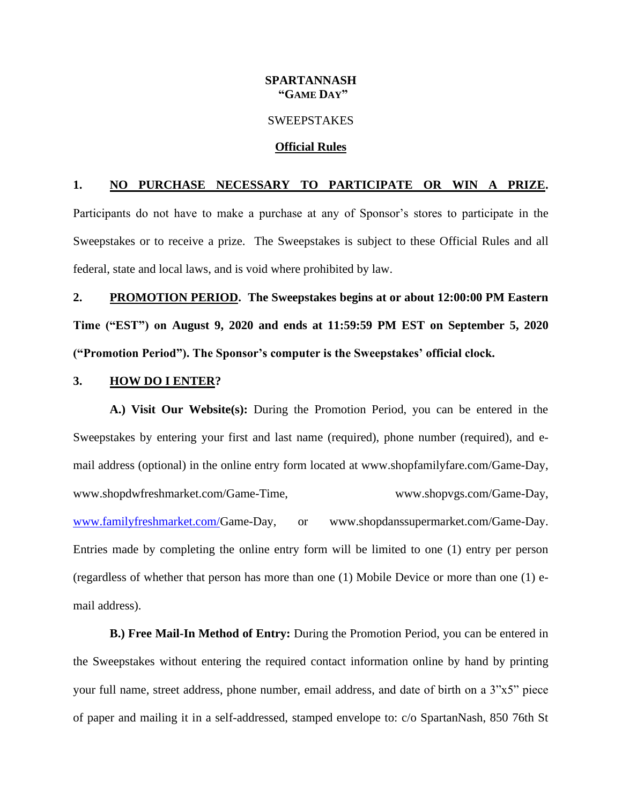# **SPARTANNASH "GAME DAY"**

### **SWEEPSTAKES**

#### **Official Rules**

# **1. NO PURCHASE NECESSARY TO PARTICIPATE OR WIN A PRIZE.**

Participants do not have to make a purchase at any of Sponsor's stores to participate in the Sweepstakes or to receive a prize. The Sweepstakes is subject to these Official Rules and all federal, state and local laws, and is void where prohibited by law.

**2. PROMOTION PERIOD. The Sweepstakes begins at or about 12:00:00 PM Eastern Time ("EST") on August 9, 2020 and ends at 11:59:59 PM EST on September 5, 2020 ("Promotion Period"). The Sponsor's computer is the Sweepstakes' official clock.**

#### **3. HOW DO I ENTER?**

**A.) Visit Our Website(s):** During the Promotion Period, you can be entered in the Sweepstakes by entering your first and last name (required), phone number (required), and email address (optional) in the online entry form located at [www.shopfamilyfare.com/G](http://www.shopfamilyfare.com/)ame-Day, www.shopdwfreshmarket.com/Game-Time, www.shopvgs.com/Game-Day, [www.familyfreshmarket.com/G](http://www.familyfreshmarket.com/)ame-Day, or www.shopdanssupermarket.com/Game-Day. Entries made by completing the online entry form will be limited to one (1) entry per person (regardless of whether that person has more than one (1) Mobile Device or more than one (1) email address).

**B.) Free Mail-In Method of Entry:** During the Promotion Period, you can be entered in the Sweepstakes without entering the required contact information online by hand by printing your full name, street address, phone number, email address, and date of birth on a 3"x5" piece of paper and mailing it in a self-addressed, stamped envelope to: c/o SpartanNash, 850 76th St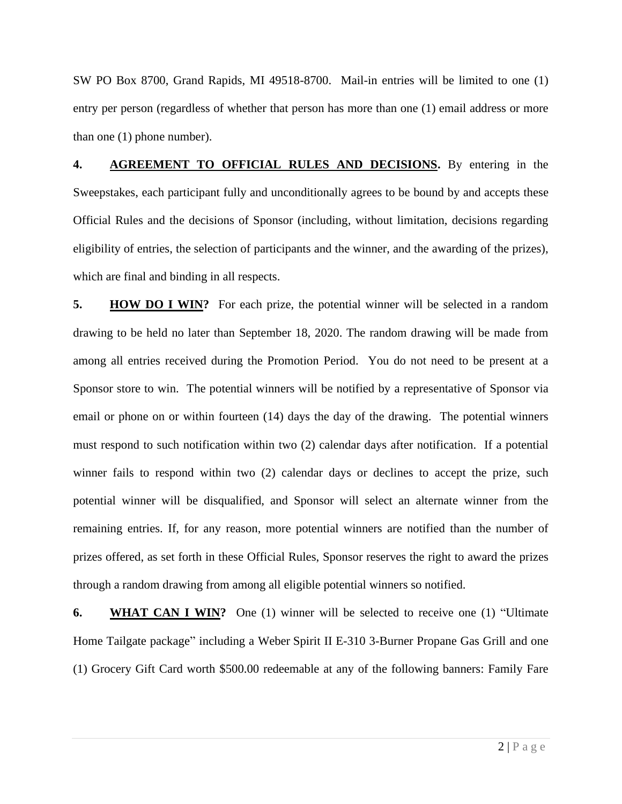SW PO Box 8700, Grand Rapids, MI 49518-8700. Mail-in entries will be limited to one (1) entry per person (regardless of whether that person has more than one (1) email address or more than one (1) phone number).

**4. AGREEMENT TO OFFICIAL RULES AND DECISIONS.** By entering in the Sweepstakes, each participant fully and unconditionally agrees to be bound by and accepts these Official Rules and the decisions of Sponsor (including, without limitation, decisions regarding eligibility of entries, the selection of participants and the winner, and the awarding of the prizes), which are final and binding in all respects.

**5. HOW DO I WIN?** For each prize, the potential winner will be selected in a random drawing to be held no later than September 18, 2020. The random drawing will be made from among all entries received during the Promotion Period. You do not need to be present at a Sponsor store to win. The potential winners will be notified by a representative of Sponsor via email or phone on or within fourteen (14) days the day of the drawing. The potential winners must respond to such notification within two (2) calendar days after notification. If a potential winner fails to respond within two (2) calendar days or declines to accept the prize, such potential winner will be disqualified, and Sponsor will select an alternate winner from the remaining entries. If, for any reason, more potential winners are notified than the number of prizes offered, as set forth in these Official Rules, Sponsor reserves the right to award the prizes through a random drawing from among all eligible potential winners so notified.

**6. WHAT CAN I WIN?** One (1) winner will be selected to receive one (1) "Ultimate Home Tailgate package" including a Weber Spirit II [E-310 3-Burner Propane Gas Grill](https://www.homedepot.com/p/Weber-Spirit-II-E-310-3-Burner-Propane-Gas-Grill-in-Black-45010001/302996388) and one (1) Grocery Gift Card worth \$500.00 redeemable at any of the following banners: Family Fare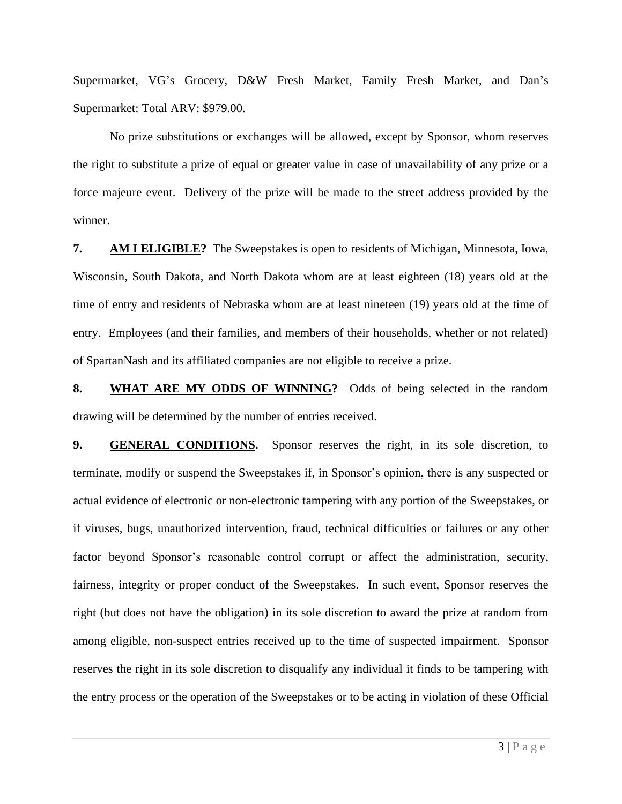Supermarket, VG's Grocery, D&W Fresh Market, Family Fresh Market, and Dan's Supermarket: Total ARV: \$979.00.

No prize substitutions or exchanges will be allowed, except by Sponsor, whom reserves the right to substitute a prize of equal or greater value in case of unavailability of any prize or a force majeure event. Delivery of the prize will be made to the street address provided by the winner.

**7. AM I ELIGIBLE?** The Sweepstakes is open to residents of Michigan, Minnesota, Iowa, Wisconsin, South Dakota, and North Dakota whom are at least eighteen (18) years old at the time of entry and residents of Nebraska whom are at least nineteen (19) years old at the time of entry. Employees (and their families, and members of their households, whether or not related) of SpartanNash and its affiliated companies are not eligible to receive a prize.

**8. WHAT ARE MY ODDS OF WINNING?** Odds of being selected in the random drawing will be determined by the number of entries received.

**9. GENERAL CONDITIONS.** Sponsor reserves the right, in its sole discretion, to terminate, modify or suspend the Sweepstakes if, in Sponsor's opinion, there is any suspected or actual evidence of electronic or non-electronic tampering with any portion of the Sweepstakes, or if viruses, bugs, unauthorized intervention, fraud, technical difficulties or failures or any other factor beyond Sponsor's reasonable control corrupt or affect the administration, security, fairness, integrity or proper conduct of the Sweepstakes. In such event, Sponsor reserves the right (but does not have the obligation) in its sole discretion to award the prize at random from among eligible, non-suspect entries received up to the time of suspected impairment. Sponsor reserves the right in its sole discretion to disqualify any individual it finds to be tampering with the entry process or the operation of the Sweepstakes or to be acting in violation of these Official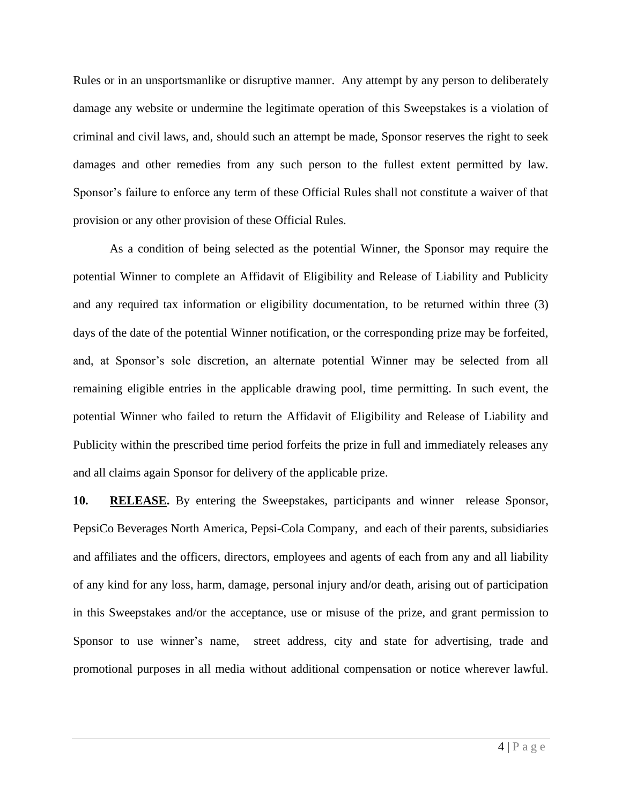Rules or in an unsportsmanlike or disruptive manner. Any attempt by any person to deliberately damage any website or undermine the legitimate operation of this Sweepstakes is a violation of criminal and civil laws, and, should such an attempt be made, Sponsor reserves the right to seek damages and other remedies from any such person to the fullest extent permitted by law. Sponsor's failure to enforce any term of these Official Rules shall not constitute a waiver of that provision or any other provision of these Official Rules.

As a condition of being selected as the potential Winner, the Sponsor may require the potential Winner to complete an Affidavit of Eligibility and Release of Liability and Publicity and any required tax information or eligibility documentation, to be returned within three (3) days of the date of the potential Winner notification, or the corresponding prize may be forfeited, and, at Sponsor's sole discretion, an alternate potential Winner may be selected from all remaining eligible entries in the applicable drawing pool, time permitting. In such event, the potential Winner who failed to return the Affidavit of Eligibility and Release of Liability and Publicity within the prescribed time period forfeits the prize in full and immediately releases any and all claims again Sponsor for delivery of the applicable prize.

**10. RELEASE.** By entering the Sweepstakes, participants and winner release Sponsor, PepsiCo Beverages North America, Pepsi-Cola Company, and each of their parents, subsidiaries and affiliates and the officers, directors, employees and agents of each from any and all liability of any kind for any loss, harm, damage, personal injury and/or death, arising out of participation in this Sweepstakes and/or the acceptance, use or misuse of the prize, and grant permission to Sponsor to use winner's name, street address, city and state for advertising, trade and promotional purposes in all media without additional compensation or notice wherever lawful.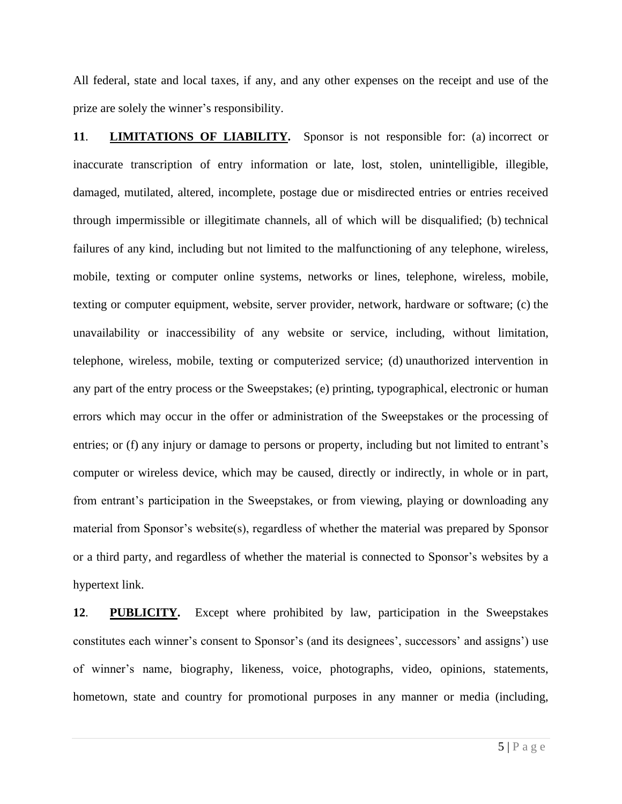All federal, state and local taxes, if any, and any other expenses on the receipt and use of the prize are solely the winner's responsibility.

**11**. **LIMITATIONS OF LIABILITY.** Sponsor is not responsible for: (a) incorrect or inaccurate transcription of entry information or late, lost, stolen, unintelligible, illegible, damaged, mutilated, altered, incomplete, postage due or misdirected entries or entries received through impermissible or illegitimate channels, all of which will be disqualified; (b) technical failures of any kind, including but not limited to the malfunctioning of any telephone, wireless, mobile, texting or computer online systems, networks or lines, telephone, wireless, mobile, texting or computer equipment, website, server provider, network, hardware or software; (c) the unavailability or inaccessibility of any website or service, including, without limitation, telephone, wireless, mobile, texting or computerized service; (d) unauthorized intervention in any part of the entry process or the Sweepstakes; (e) printing, typographical, electronic or human errors which may occur in the offer or administration of the Sweepstakes or the processing of entries; or (f) any injury or damage to persons or property, including but not limited to entrant's computer or wireless device, which may be caused, directly or indirectly, in whole or in part, from entrant's participation in the Sweepstakes, or from viewing, playing or downloading any material from Sponsor's website(s), regardless of whether the material was prepared by Sponsor or a third party, and regardless of whether the material is connected to Sponsor's websites by a hypertext link.

**12**. **PUBLICITY.** Except where prohibited by law, participation in the Sweepstakes constitutes each winner's consent to Sponsor's (and its designees', successors' and assigns') use of winner's name, biography, likeness, voice, photographs, video, opinions, statements, hometown, state and country for promotional purposes in any manner or media (including,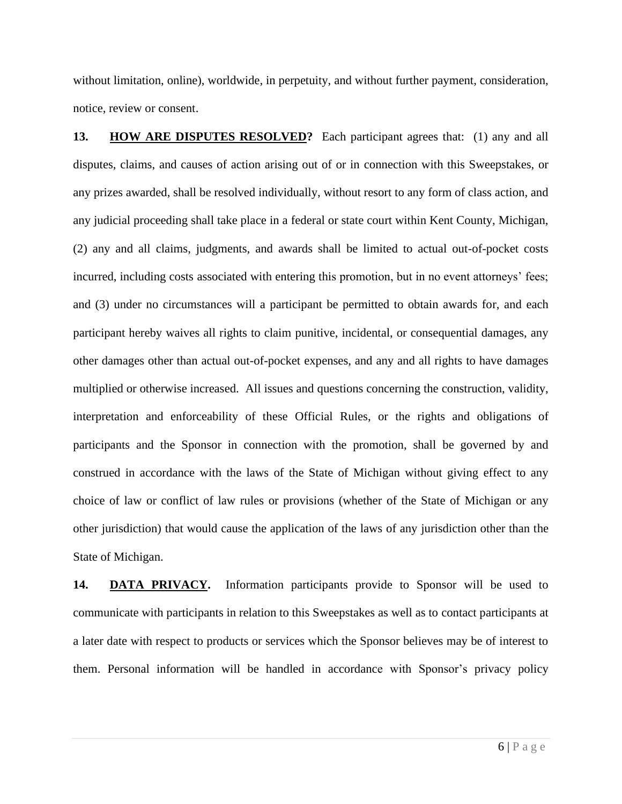without limitation, online), worldwide, in perpetuity, and without further payment, consideration, notice, review or consent.

**13. HOW ARE DISPUTES RESOLVED?** Each participant agrees that: (1) any and all disputes, claims, and causes of action arising out of or in connection with this Sweepstakes, or any prizes awarded, shall be resolved individually, without resort to any form of class action, and any judicial proceeding shall take place in a federal or state court within Kent County, Michigan, (2) any and all claims, judgments, and awards shall be limited to actual out-of-pocket costs incurred, including costs associated with entering this promotion, but in no event attorneys' fees; and (3) under no circumstances will a participant be permitted to obtain awards for, and each participant hereby waives all rights to claim punitive, incidental, or consequential damages, any other damages other than actual out-of-pocket expenses, and any and all rights to have damages multiplied or otherwise increased. All issues and questions concerning the construction, validity, interpretation and enforceability of these Official Rules, or the rights and obligations of participants and the Sponsor in connection with the promotion, shall be governed by and construed in accordance with the laws of the State of Michigan without giving effect to any choice of law or conflict of law rules or provisions (whether of the State of Michigan or any other jurisdiction) that would cause the application of the laws of any jurisdiction other than the State of Michigan.

**14. DATA PRIVACY.** Information participants provide to Sponsor will be used to communicate with participants in relation to this Sweepstakes as well as to contact participants at a later date with respect to products or services which the Sponsor believes may be of interest to them. Personal information will be handled in accordance with Sponsor's privacy policy